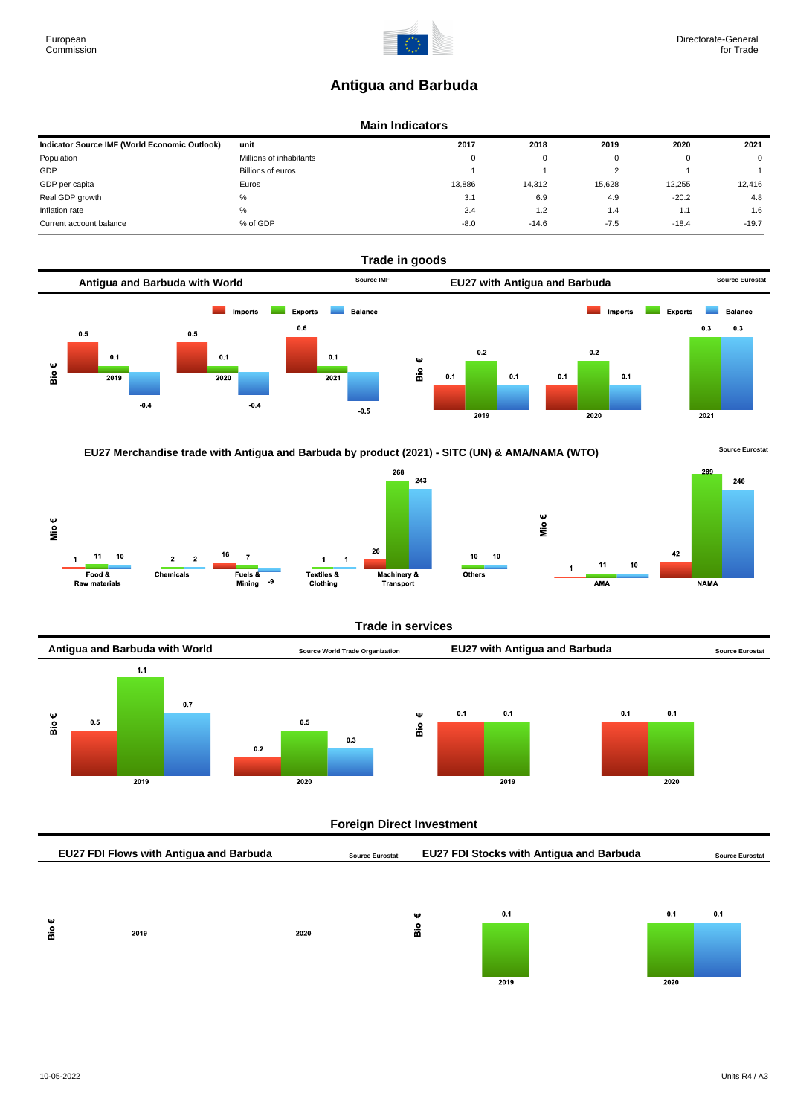# **Antigua and Barbuda**

# **Main Indicators**

| Indicator Source IMF (World Economic Outlook) | unit                    | 2017     | 2018    | 2019   | 2020    | 2021        |
|-----------------------------------------------|-------------------------|----------|---------|--------|---------|-------------|
| Population                                    | Millions of inhabitants | $\Omega$ | 0       |        |         | $\mathbf 0$ |
| GDP                                           | Billions of euros       |          |         |        |         |             |
| GDP per capita                                | Euros                   | 13.886   | 14.312  | 15,628 | 12.255  | 12,416      |
| Real GDP growth                               | %                       | 3.1      | 6.9     | 4.9    | $-20.2$ | 4.8         |
| Inflation rate                                | %                       | 2.4      | 1.2     | 1.4    | 1.1     | 1.6         |
| Current account balance                       | % of GDP                | $-8.0$   | $-14.6$ | $-7.5$ | $-18.4$ | $-19.7$     |









#### **Trade in services**



### **Foreign Direct Investment**

| EU27 FDI Flows with Antigua and Barbuda |      |      | <b>EU27 FDI Stocks with Antigua and Barbuda</b><br><b>Source Eurostat</b> |   |     |  |     | <b>Source Eurostat</b> |  |
|-----------------------------------------|------|------|---------------------------------------------------------------------------|---|-----|--|-----|------------------------|--|
|                                         |      |      |                                                                           |   |     |  |     |                        |  |
|                                         |      |      |                                                                           |   |     |  |     |                        |  |
| Ψ                                       |      |      |                                                                           | Ψ | 0.1 |  | 0.1 | 0.1                    |  |
| န္ထ                                     | 2019 | 2020 |                                                                           | å |     |  |     |                        |  |

 $\overline{2019}$ 



European Commission

 $\overline{2020}$